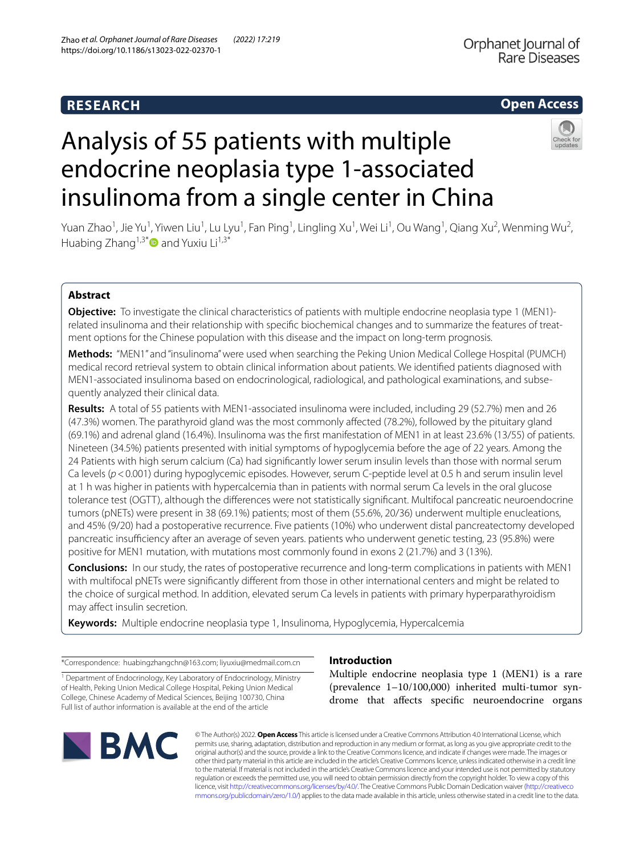# **RESEARCH**

# Orphanet Journal of Rare Diseases

# **Open Access**

# Analysis of 55 patients with multiple endocrine neoplasia type 1-associated



Yuan Zhao<sup>1</sup>, Jie Yu<sup>1</sup>, Yiwen Liu<sup>1</sup>, Lu Lyu<sup>1</sup>, Fan Ping<sup>1</sup>, Lingling Xu<sup>1</sup>, Wei Li<sup>1</sup>, Ou Wang<sup>1</sup>, Qiang Xu<sup>2</sup>, Wenming Wu<sup>2</sup>, Huabing Zhang<sup>1,3\*</sup> and Yuxiu Li<sup>1,3\*</sup>

insulinoma from a single center in China

## **Abstract**

**Objective:** To investigate the clinical characteristics of patients with multiple endocrine neoplasia type 1 (MEN1) related insulinoma and their relationship with specifc biochemical changes and to summarize the features of treatment options for the Chinese population with this disease and the impact on long-term prognosis.

**Methods:** "MEN1" and "insulinoma" were used when searching the Peking Union Medical College Hospital (PUMCH) medical record retrieval system to obtain clinical information about patients. We identifed patients diagnosed with MEN1-associated insulinoma based on endocrinological, radiological, and pathological examinations, and subsequently analyzed their clinical data.

**Results:** A total of 55 patients with MEN1-associated insulinoma were included, including 29 (52.7%) men and 26 (47.3%) women. The parathyroid gland was the most commonly afected (78.2%), followed by the pituitary gland (69.1%) and adrenal gland (16.4%). Insulinoma was the frst manifestation of MEN1 in at least 23.6% (13/55) of patients. Nineteen (34.5%) patients presented with initial symptoms of hypoglycemia before the age of 22 years. Among the 24 Patients with high serum calcium (Ca) had signifcantly lower serum insulin levels than those with normal serum Ca levels ( $p$ <0.001) during hypoglycemic episodes. However, serum C-peptide level at 0.5 h and serum insulin level at 1 h was higher in patients with hypercalcemia than in patients with normal serum Ca levels in the oral glucose tolerance test (OGTT), although the diferences were not statistically signifcant. Multifocal pancreatic neuroendocrine tumors (pNETs) were present in 38 (69.1%) patients; most of them (55.6%, 20/36) underwent multiple enucleations, and 45% (9/20) had a postoperative recurrence. Five patients (10%) who underwent distal pancreatectomy developed pancreatic insufficiency after an average of seven years, patients who underwent genetic testing, 23 (95.8%) were positive for MEN1 mutation, with mutations most commonly found in exons 2 (21.7%) and 3 (13%).

**Conclusions:** In our study, the rates of postoperative recurrence and long-term complications in patients with MEN1 with multifocal pNETs were signifcantly diferent from those in other international centers and might be related to the choice of surgical method. In addition, elevated serum Ca levels in patients with primary hyperparathyroidism may affect insulin secretion.

**Keywords:** Multiple endocrine neoplasia type 1, Insulinoma, Hypoglycemia, Hypercalcemia

\*Correspondence: huabingzhangchn@163.com; liyuxiu@medmail.com.cn

<sup>1</sup> Department of Endocrinology, Key Laboratory of Endocrinology, Ministry of Health, Peking Union Medical College Hospital, Peking Union Medical College, Chinese Academy of Medical Sciences, Beijing 100730, China Full list of author information is available at the end of the article



## **Introduction**

Multiple endocrine neoplasia type 1 (MEN1) is a rare (prevalence 1–10/100,000) inherited multi-tumor syndrome that afects specifc neuroendocrine organs

© The Author(s) 2022. **Open Access** This article is licensed under a Creative Commons Attribution 4.0 International License, which permits use, sharing, adaptation, distribution and reproduction in any medium or format, as long as you give appropriate credit to the original author(s) and the source, provide a link to the Creative Commons licence, and indicate if changes were made. The images or other third party material in this article are included in the article's Creative Commons licence, unless indicated otherwise in a credit line to the material. If material is not included in the article's Creative Commons licence and your intended use is not permitted by statutory regulation or exceeds the permitted use, you will need to obtain permission directly from the copyright holder. To view a copy of this licence, visit [http://creativecommons.org/licenses/by/4.0/.](http://creativecommons.org/licenses/by/4.0/) The Creative Commons Public Domain Dedication waiver ([http://creativeco](http://creativecommons.org/publicdomain/zero/1.0/) [mmons.org/publicdomain/zero/1.0/](http://creativecommons.org/publicdomain/zero/1.0/)) applies to the data made available in this article, unless otherwise stated in a credit line to the data.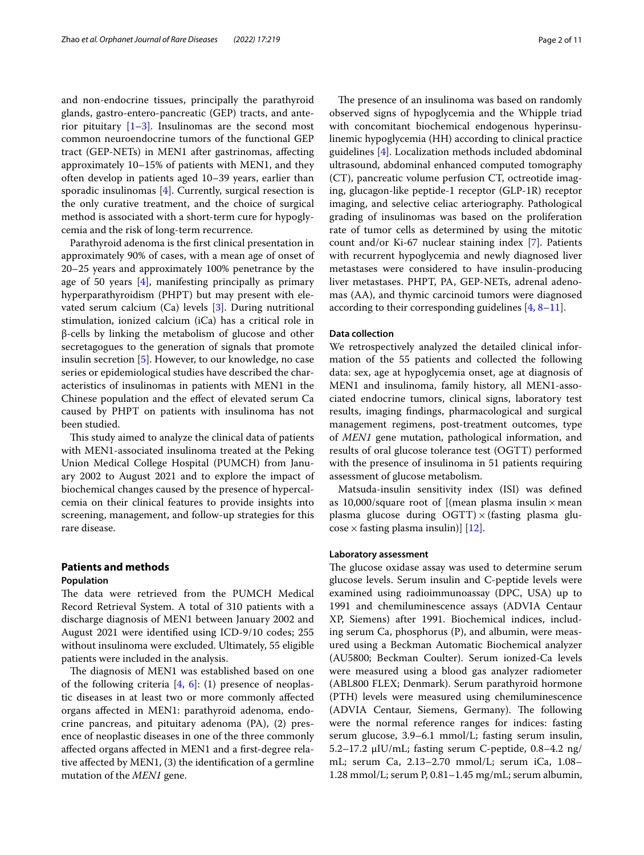and non-endocrine tissues, principally the parathyroid glands, gastro-entero-pancreatic (GEP) tracts, and anterior pituitary  $[1-3]$  $[1-3]$ . Insulinomas are the second most common neuroendocrine tumors of the functional GEP tract (GEP-NETs) in MEN1 after gastrinomas, afecting approximately 10–15% of patients with MEN1, and they often develop in patients aged 10–39 years, earlier than sporadic insulinomas [[4\]](#page-9-2). Currently, surgical resection is the only curative treatment, and the choice of surgical method is associated with a short-term cure for hypoglycemia and the risk of long-term recurrence.

Parathyroid adenoma is the frst clinical presentation in approximately 90% of cases, with a mean age of onset of 20–25 years and approximately 100% penetrance by the age of 50 years  $[4]$  $[4]$ , manifesting principally as primary hyperparathyroidism (PHPT) but may present with elevated serum calcium (Ca) levels [\[3](#page-9-1)]. During nutritional stimulation, ionized calcium (iCa) has a critical role in β-cells by linking the metabolism of glucose and other secretagogues to the generation of signals that promote insulin secretion [\[5](#page-9-3)]. However, to our knowledge, no case series or epidemiological studies have described the characteristics of insulinomas in patients with MEN1 in the Chinese population and the efect of elevated serum Ca caused by PHPT on patients with insulinoma has not been studied.

This study aimed to analyze the clinical data of patients with MEN1-associated insulinoma treated at the Peking Union Medical College Hospital (PUMCH) from January 2002 to August 2021 and to explore the impact of biochemical changes caused by the presence of hypercalcemia on their clinical features to provide insights into screening, management, and follow-up strategies for this rare disease.

# **Patients and methods**

## **Population**

The data were retrieved from the PUMCH Medical Record Retrieval System. A total of 310 patients with a discharge diagnosis of MEN1 between January 2002 and August 2021 were identifed using ICD-9/10 codes; 255 without insulinoma were excluded. Ultimately, 55 eligible patients were included in the analysis.

The diagnosis of MEN1 was established based on one of the following criteria  $[4, 6]$  $[4, 6]$  $[4, 6]$  $[4, 6]$ : (1) presence of neoplastic diseases in at least two or more commonly afected organs afected in MEN1: parathyroid adenoma, endocrine pancreas, and pituitary adenoma (PA), (2) presence of neoplastic diseases in one of the three commonly afected organs afected in MEN1 and a frst-degree relative afected by MEN1, (3) the identifcation of a germline mutation of the *MEN1* gene.

The presence of an insulinoma was based on randomly observed signs of hypoglycemia and the Whipple triad with concomitant biochemical endogenous hyperinsulinemic hypoglycemia (HH) according to clinical practice guidelines [\[4\]](#page-9-2). Localization methods included abdominal ultrasound, abdominal enhanced computed tomography (CT), pancreatic volume perfusion CT, octreotide imaging, glucagon-like peptide-1 receptor (GLP-1R) receptor imaging, and selective celiac arteriography. Pathological grading of insulinomas was based on the proliferation rate of tumor cells as determined by using the mitotic count and/or Ki-67 nuclear staining index [\[7](#page-9-5)]. Patients with recurrent hypoglycemia and newly diagnosed liver metastases were considered to have insulin-producing liver metastases. PHPT, PA, GEP-NETs, adrenal adenomas (AA), and thymic carcinoid tumors were diagnosed according to their corresponding guidelines  $[4, 8-11]$  $[4, 8-11]$  $[4, 8-11]$  $[4, 8-11]$ .

#### **Data collection**

We retrospectively analyzed the detailed clinical information of the 55 patients and collected the following data: sex, age at hypoglycemia onset, age at diagnosis of MEN1 and insulinoma, family history, all MEN1-associated endocrine tumors, clinical signs, laboratory test results, imaging fndings, pharmacological and surgical management regimens, post-treatment outcomes, type of *MEN1* gene mutation, pathological information, and results of oral glucose tolerance test (OGTT) performed with the presence of insulinoma in 51 patients requiring assessment of glucose metabolism.

Matsuda-insulin sensitivity index (ISI) was defned as 10,000/square root of [(mean plasma insulin  $\times$  mean plasma glucose during  $\overline{OGTT}$  × (fasting plasma glu- $\cos$ e × fasting plasma insulin)] [\[12](#page-9-8)].

#### **Laboratory assessment**

The glucose oxidase assay was used to determine serum glucose levels. Serum insulin and C-peptide levels were examined using radioimmunoassay (DPC, USA) up to 1991 and chemiluminescence assays (ADVIA Centaur XP, Siemens) after 1991. Biochemical indices, including serum Ca, phosphorus (P), and albumin, were measured using a Beckman Automatic Biochemical analyzer (AU5800; Beckman Coulter). Serum ionized-Ca levels were measured using a blood gas analyzer radiometer (ABL800 FLEX; Denmark). Serum parathyroid hormone (PTH) levels were measured using chemiluminescence (ADVIA Centaur, Siemens, Germany). The following were the normal reference ranges for indices: fasting serum glucose, 3.9–6.1 mmol/L; fasting serum insulin, 5.2–17.2 μIU/mL; fasting serum C-peptide, 0.8–4.2 ng/ mL; serum Ca, 2.13–2.70 mmol/L; serum iCa, 1.08– 1.28 mmol/L; serum P, 0.81–1.45 mg/mL; serum albumin,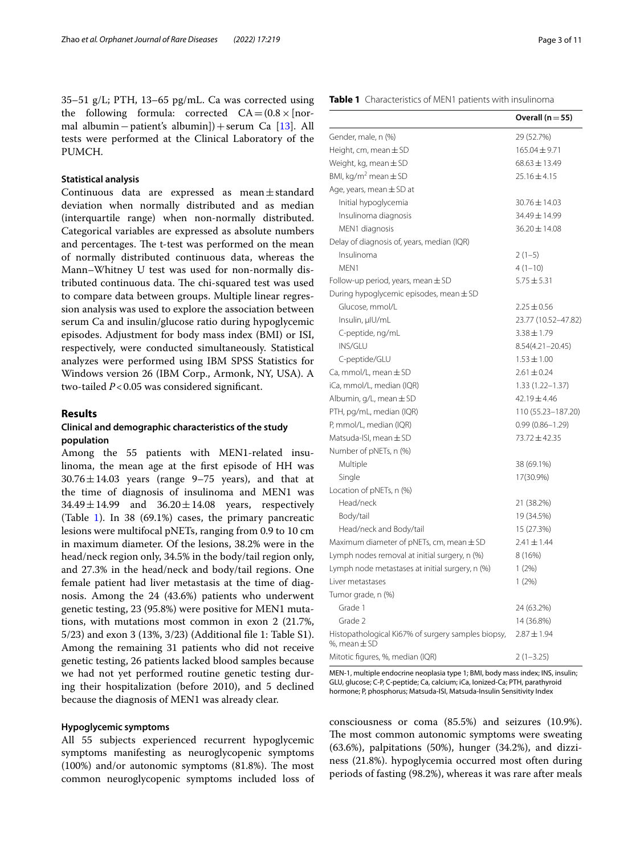35–51 g/L; PTH, 13–65 pg/mL. Ca was corrected using the following formula: corrected  $CA = (0.8 \times \sqrt{0.8})$ mal albumin−patient's albumin])+serum Ca [[13](#page-9-9)]. All tests were performed at the Clinical Laboratory of the PUMCH.

#### **Statistical analysis**

Continuous data are expressed as mean±standard deviation when normally distributed and as median (interquartile range) when non-normally distributed. Categorical variables are expressed as absolute numbers and percentages. The t-test was performed on the mean of normally distributed continuous data, whereas the Mann–Whitney U test was used for non-normally distributed continuous data. The chi-squared test was used to compare data between groups. Multiple linear regression analysis was used to explore the association between serum Ca and insulin/glucose ratio during hypoglycemic episodes. Adjustment for body mass index (BMI) or ISI, respectively, were conducted simultaneously. Statistical analyzes were performed using IBM SPSS Statistics for Windows version 26 (IBM Corp., Armonk, NY, USA). A two-tailed *P*<0.05 was considered signifcant.

## **Results**

## **Clinical and demographic characteristics of the study population**

Among the 55 patients with MEN1-related insulinoma, the mean age at the frst episode of HH was  $30.76 \pm 14.03$  years (range 9–75 years), and that at the time of diagnosis of insulinoma and MEN1 was  $34.49 \pm 14.99$  and  $36.20 \pm 14.08$  years, respectively (Table [1\)](#page-2-0). In 38 (69.1%) cases, the primary pancreatic lesions were multifocal pNETs, ranging from 0.9 to 10 cm in maximum diameter. Of the lesions, 38.2% were in the head/neck region only, 34.5% in the body/tail region only, and 27.3% in the head/neck and body/tail regions. One female patient had liver metastasis at the time of diagnosis. Among the 24 (43.6%) patients who underwent genetic testing, 23 (95.8%) were positive for MEN1 mutations, with mutations most common in exon 2 (21.7%, 5/23) and exon 3 (13%, 3/23) (Additional fle 1: Table S1). Among the remaining 31 patients who did not receive genetic testing, 26 patients lacked blood samples because we had not yet performed routine genetic testing during their hospitalization (before 2010), and 5 declined because the diagnosis of MEN1 was already clear.

## **Hypoglycemic symptoms**

All 55 subjects experienced recurrent hypoglycemic symptoms manifesting as neuroglycopenic symptoms  $(100%)$  and/or autonomic symptoms  $(81.8%)$ . The most common neuroglycopenic symptoms included loss of

#### <span id="page-2-0"></span>**Table 1** Characteristics of MEN1 patients with insulinoma

|                                                                        | Overall $(n=55)$    |
|------------------------------------------------------------------------|---------------------|
| Gender, male, n (%)                                                    | 29 (52.7%)          |
| Height, cm, mean $\pm$ SD                                              | $165.04 \pm 9.71$   |
| Weight, kg, mean $\pm$ SD                                              | $68.63 \pm 13.49$   |
| BMI, kg/m <sup>2</sup> mean $\pm$ SD                                   | $25.16 \pm 4.15$    |
| Age, years, mean $\pm$ SD at                                           |                     |
| Initial hypoglycemia                                                   | 30.76 ± 14.03       |
| Insulinoma diagnosis                                                   | 34.49 ± 14.99       |
| MEN1 diagnosis                                                         | $36.20 \pm 14.08$   |
| Delay of diagnosis of, years, median (IQR)                             |                     |
| Insulinoma                                                             | $2(1-5)$            |
| MEN1                                                                   | $4(1-10)$           |
| Follow-up period, years, mean $\pm$ SD                                 | $5.75 \pm 5.31$     |
| During hypoglycemic episodes, mean ± SD                                |                     |
| Glucose, mmol/L                                                        | $2.25 \pm 0.56$     |
| Insulin, µlU/mL                                                        | 23.77 (10.52-47.82) |
| C-peptide, ng/mL                                                       | $3.38 \pm 1.79$     |
| <b>INS/GLU</b>                                                         | 8.54(4.21-20.45)    |
| C-peptide/GLU                                                          | $1.53 \pm 1.00$     |
| Ca, mmol/L, mean $\pm$ SD                                              | $2.61 \pm 0.24$     |
| iCa, mmol/L, median (IQR)                                              | $1.33(1.22 - 1.37)$ |
| Albumin, $q/L$ , mean $\pm$ SD                                         | $42.19 \pm 4.46$    |
| PTH, pg/mL, median (IQR)                                               | 110 (55.23-187.20)  |
| P, mmol/L, median (IQR)                                                | $0.99(0.86 - 1.29)$ |
| Matsuda-ISI, mean $\pm$ SD                                             | 73.72 ± 42.35       |
| Number of pNETs, n (%)                                                 |                     |
| Multiple                                                               | 38 (69.1%)          |
| Single                                                                 | 17(30.9%)           |
| Location of pNETs, n (%)                                               |                     |
| Head/neck                                                              | 21 (38.2%)          |
| Body/tail                                                              | 19 (34.5%)          |
| Head/neck and Body/tail                                                | 15 (27.3%)          |
| Maximum diameter of pNETs, cm, mean ± SD                               | $2.41 \pm 1.44$     |
| Lymph nodes removal at initial surgery, n (%)                          | 8 (16%)             |
| Lymph node metastases at initial surgery, n (%)                        | 1(2%)               |
| Liver metastases                                                       | 1(2%)               |
| Tumor grade, n (%)                                                     |                     |
| Grade 1                                                                | 24 (63.2%)          |
| Grade 2                                                                | 14 (36.8%)          |
| Histopathological Ki67% of surgery samples biopsy,<br>%, mean $\pm$ SD | $2.87 \pm 1.94$     |
| Mitotic figures, %, median (IQR)                                       | $2(1-3.25)$         |

MEN-1, multiple endocrine neoplasia type 1; BMI, body mass index; INS, insulin; GLU, glucose; C-P, C-peptide; Ca, calcium; iCa, Ionized-Ca; PTH, parathyroid hormone; P, phosphorus; Matsuda-ISI, Matsuda-Insulin Sensitivity Index

consciousness or coma (85.5%) and seizures (10.9%). The most common autonomic symptoms were sweating (63.6%), palpitations (50%), hunger (34.2%), and dizziness (21.8%). hypoglycemia occurred most often during periods of fasting (98.2%), whereas it was rare after meals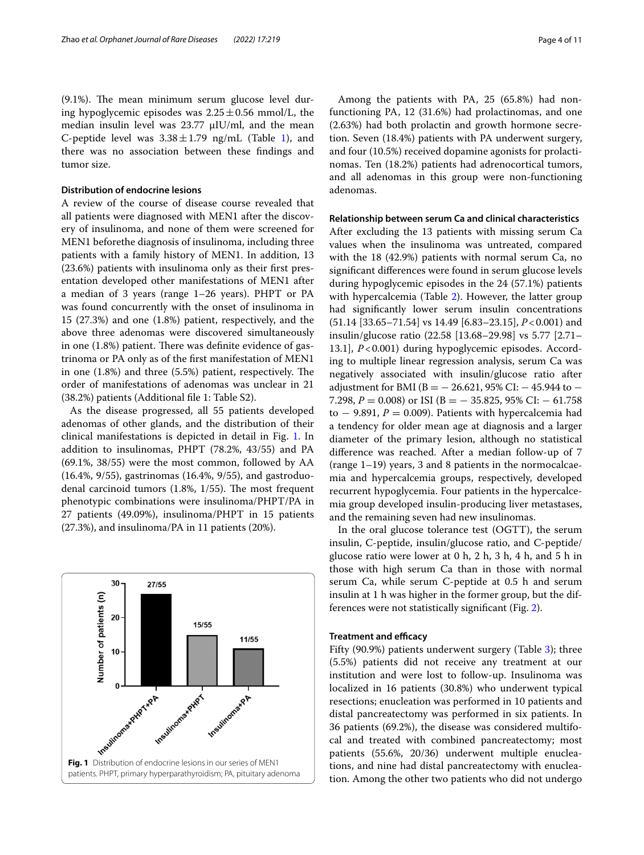$(9.1\%)$ . The mean minimum serum glucose level during hypoglycemic episodes was  $2.25 \pm 0.56$  mmol/L, the median insulin level was 23.77 μIU/ml, and the mean C-peptide level was  $3.38 \pm 1.79$  ng/mL (Table [1\)](#page-2-0), and there was no association between these fndings and tumor size.

#### **Distribution of endocrine lesions**

A review of the course of disease course revealed that all patients were diagnosed with MEN1 after the discovery of insulinoma, and none of them were screened for MEN1 beforethe diagnosis of insulinoma, including three patients with a family history of MEN1. In addition, 13 (23.6%) patients with insulinoma only as their frst presentation developed other manifestations of MEN1 after a median of 3 years (range 1–26 years). PHPT or PA was found concurrently with the onset of insulinoma in 15 (27.3%) and one (1.8%) patient, respectively, and the above three adenomas were discovered simultaneously in one  $(1.8%)$  patient. There was definite evidence of gastrinoma or PA only as of the frst manifestation of MEN1 in one  $(1.8\%)$  and three  $(5.5\%)$  patient, respectively. The order of manifestations of adenomas was unclear in 21 (38.2%) patients (Additional fle 1: Table S2).

As the disease progressed, all 55 patients developed adenomas of other glands, and the distribution of their clinical manifestations is depicted in detail in Fig. [1.](#page-3-0) In addition to insulinomas, PHPT (78.2%, 43/55) and PA (69.1%, 38/55) were the most common, followed by AA (16.4%, 9/55), gastrinomas (16.4%, 9/55), and gastroduodenal carcinoid tumors  $(1.8\%, 1/55)$ . The most frequent phenotypic combinations were insulinoma/PHPT/PA in 27 patients (49.09%), insulinoma/PHPT in 15 patients (27.3%), and insulinoma/PA in 11 patients (20%).

<span id="page-3-0"></span>

Among the patients with PA, 25 (65.8%) had nonfunctioning PA, 12 (31.6%) had prolactinomas, and one (2.63%) had both prolactin and growth hormone secretion. Seven (18.4%) patients with PA underwent surgery, and four (10.5%) received dopamine agonists for prolactinomas. Ten (18.2%) patients had adrenocortical tumors, and all adenomas in this group were non-functioning adenomas.

#### **Relationship between serum Ca and clinical characteristics**

After excluding the 13 patients with missing serum Ca values when the insulinoma was untreated, compared with the 18 (42.9%) patients with normal serum Ca, no signifcant diferences were found in serum glucose levels during hypoglycemic episodes in the 24 (57.1%) patients with hypercalcemia (Table [2\)](#page-4-0). However, the latter group had signifcantly lower serum insulin concentrations (51.14 [33.65–71.54] vs 14.49 [6.83–23.15], *P*<0.001) and insulin/glucose ratio (22.58 [13.68–29.98] vs 5.77 [2.71– 13.1], *P*<0.001) during hypoglycemic episodes. According to multiple linear regression analysis, serum Ca was negatively associated with insulin/glucose ratio after adjustment for BMI (B =  $-$  26.621, 95% CI:  $-$  45.944 to  $-$ 7.298, *P* = 0.008) or ISI (B = − 35.825, 95% CI: − 61.758 to  $-$  9.891,  $P = 0.009$ ). Patients with hypercalcemia had a tendency for older mean age at diagnosis and a larger diameter of the primary lesion, although no statistical diference was reached. After a median follow-up of 7 (range 1–19) years, 3 and 8 patients in the normocalcaemia and hypercalcemia groups, respectively, developed recurrent hypoglycemia. Four patients in the hypercalcemia group developed insulin-producing liver metastases, and the remaining seven had new insulinomas.

In the oral glucose tolerance test (OGTT), the serum insulin, C-peptide, insulin/glucose ratio, and C-peptide/ glucose ratio were lower at 0 h, 2 h, 3 h, 4 h, and 5 h in those with high serum Ca than in those with normal serum Ca, while serum C-peptide at 0.5 h and serum insulin at 1 h was higher in the former group, but the differences were not statistically signifcant (Fig. [2](#page-5-0)).

## **Treatment and efficacy**

Fifty (90.9%) patients underwent surgery (Table [3\)](#page-5-1); three (5.5%) patients did not receive any treatment at our institution and were lost to follow-up. Insulinoma was localized in 16 patients (30.8%) who underwent typical resections; enucleation was performed in 10 patients and distal pancreatectomy was performed in six patients. In 36 patients (69.2%), the disease was considered multifocal and treated with combined pancreatectomy; most patients (55.6%, 20/36) underwent multiple enucleations, and nine had distal pancreatectomy with enucleation. Among the other two patients who did not undergo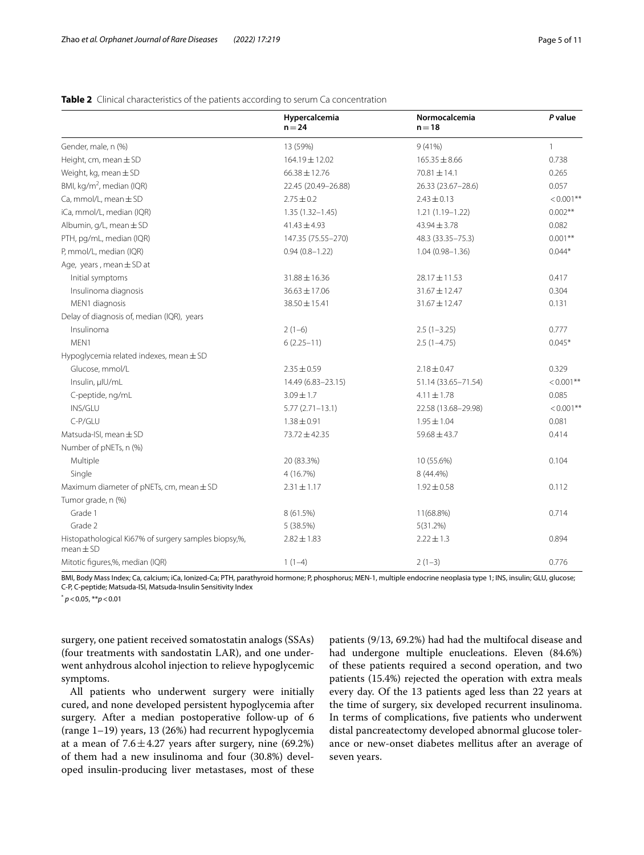|                                                                       | Hypercalcemia<br>$n = 24$ | Normocalcemia<br>$n = 18$ | P value      |
|-----------------------------------------------------------------------|---------------------------|---------------------------|--------------|
| Gender, male, n (%)                                                   | 13 (59%)                  | 9(41%)                    | $\mathbf{1}$ |
| Height, cm, mean $\pm$ SD                                             | $164.19 \pm 12.02$        | $165.35 \pm 8.66$         | 0.738        |
| Weight, kg, mean $\pm$ SD                                             | $66.38 \pm 12.76$         | $70.81 \pm 14.1$          | 0.265        |
| BMI, kg/m <sup>2</sup> , median (IQR)                                 | 22.45 (20.49-26.88)       | 26.33 (23.67-28.6)        | 0.057        |
| Ca, mmol/L, mean $\pm$ SD                                             | $2.75 \pm 0.2$            | $2.43 \pm 0.13$           | $< 0.001$ ** |
| iCa, mmol/L, median (IQR)                                             | $1.35(1.32 - 1.45)$       | $1.21(1.19 - 1.22)$       | $0.002**$    |
| Albumin, $q/L$ , mean $\pm$ SD                                        | $41.43 \pm 4.93$          | $43.94 \pm 3.78$          | 0.082        |
| PTH, pg/mL, median (IQR)                                              | 147.35 (75.55-270)        | 48.3 (33.35-75.3)         | $0.001***$   |
| P, mmol/L, median (IQR)                                               | $0.94(0.8 - 1.22)$        | $1.04(0.98 - 1.36)$       | $0.044*$     |
| Age, years, mean $\pm$ SD at                                          |                           |                           |              |
| Initial symptoms                                                      | 31.88 ± 16.36             | 28.17 ± 11.53             | 0.417        |
| Insulinoma diagnosis                                                  | $36.63 \pm 17.06$         | $31.67 \pm 12.47$         | 0.304        |
| MEN1 diagnosis                                                        | 38.50±15.41               | $31.67 \pm 12.47$         | 0.131        |
| Delay of diagnosis of, median (IQR), years                            |                           |                           |              |
| Insulinoma                                                            | $2(1-6)$                  | $2.5(1-3.25)$             | 0.777        |
| MEN1                                                                  | $6(2.25-11)$              | $2.5(1-4.75)$             | $0.045*$     |
| Hypoglycemia related indexes, mean $\pm$ SD                           |                           |                           |              |
| Glucose, mmol/L                                                       | $2.35 \pm 0.59$           | $2.18 \pm 0.47$           | 0.329        |
| Insulin, µlU/mL                                                       | 14.49 (6.83-23.15)        | 51.14 (33.65-71.54)       | $< 0.001$ ** |
| C-peptide, ng/mL                                                      | $3.09 \pm 1.7$            | $4.11 \pm 1.78$           | 0.085        |
| INS/GLU                                                               | $5.77(2.71 - 13.1)$       | 22.58 (13.68-29.98)       | $< 0.001$ ** |
| C-P/GLU                                                               | $1.38 \pm 0.91$           | $1.95 \pm 1.04$           | 0.081        |
| Matsuda-ISI, mean ± SD                                                | 73.72 ± 42.35             | $59.68 \pm 43.7$          | 0.414        |
| Number of pNETs, n (%)                                                |                           |                           |              |
| Multiple                                                              | 20 (83.3%)                | 10 (55.6%)                | 0.104        |
| Single                                                                | 4 (16.7%)                 | 8 (44.4%)                 |              |
| Maximum diameter of pNETs, cm, mean $\pm$ SD                          | $2.31 \pm 1.17$           | $1.92 \pm 0.58$           | 0.112        |
| Tumor grade, n (%)                                                    |                           |                           |              |
| Grade 1                                                               | 8 (61.5%)                 | 11(68.8%)                 | 0.714        |
| Grade 2                                                               | 5(38.5%)                  | 5(31.2%)                  |              |
| Histopathological Ki67% of surgery samples biopsy,%,<br>$mean \pm SD$ | $2.82 \pm 1.83$           | $2.22 \pm 1.3$            | 0.894        |
| Mitotic figures,%, median (IQR)                                       | $1(1-4)$                  | $2(1-3)$                  | 0.776        |

## <span id="page-4-0"></span>**Table 2** Clinical characteristics of the patients according to serum Ca concentration

BMI, Body Mass Index; Ca, calcium; iCa, Ionized-Ca; PTH, parathyroid hormone; P, phosphorus; MEN-1, multiple endocrine neoplasia type 1; INS, insulin; GLU, glucose; C-P, C-peptide; Matsuda-ISI, Matsuda-Insulin Sensitivity Index

\* *p*<0.05, \*\**p*<0.01

surgery, one patient received somatostatin analogs (SSAs) (four treatments with sandostatin LAR), and one underwent anhydrous alcohol injection to relieve hypoglycemic symptoms.

All patients who underwent surgery were initially cured, and none developed persistent hypoglycemia after surgery. After a median postoperative follow-up of 6 (range 1–19) years, 13 (26%) had recurrent hypoglycemia at a mean of  $7.6 \pm 4.27$  years after surgery, nine (69.2%) of them had a new insulinoma and four (30.8%) developed insulin‐producing liver metastases, most of these patients (9/13, 69.2%) had had the multifocal disease and had undergone multiple enucleations. Eleven (84.6%) of these patients required a second operation, and two patients (15.4%) rejected the operation with extra meals every day. Of the 13 patients aged less than 22 years at the time of surgery, six developed recurrent insulinoma. In terms of complications, fve patients who underwent distal pancreatectomy developed abnormal glucose tolerance or new-onset diabetes mellitus after an average of seven years.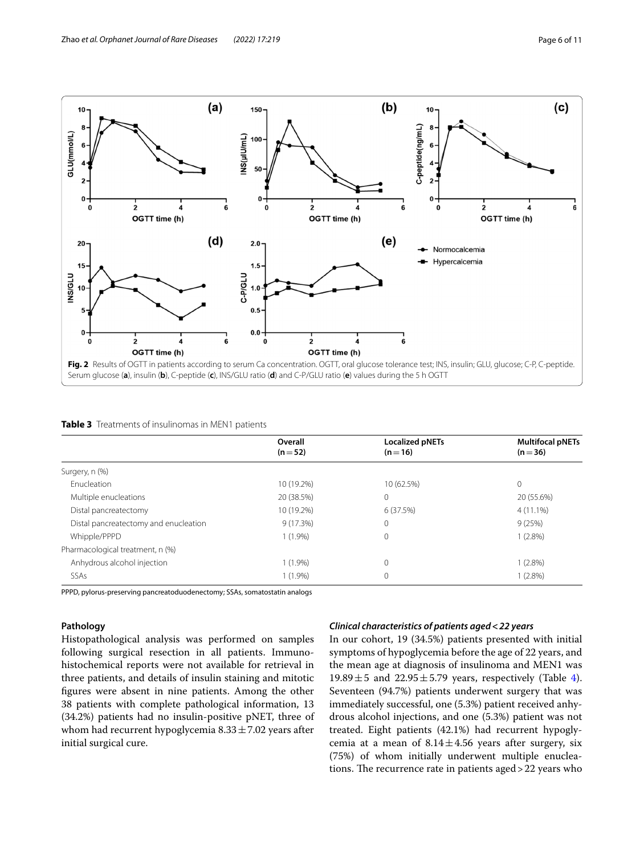

<span id="page-5-1"></span><span id="page-5-0"></span>

| Table 3 Treatments of insulinomas in MEN1 patients |  |
|----------------------------------------------------|--|
|----------------------------------------------------|--|

|                                       | Overall<br>$(n=52)$ | <b>Localized pNETs</b><br>$(n=16)$ | <b>Multifocal pNETs</b><br>$(n=36)$ |
|---------------------------------------|---------------------|------------------------------------|-------------------------------------|
| Surgery, n (%)                        |                     |                                    |                                     |
| Enucleation                           | 10 (19.2%)          | 10 (62.5%)                         | $\mathbf{0}$                        |
| Multiple enucleations                 | 20 (38.5%)          | $\mathbf{0}$                       | 20 (55.6%)                          |
| Distal pancreatectomy                 | 10 (19.2%)          | 6 (37.5%)                          | $4(11.1\%)$                         |
| Distal pancreatectomy and enucleation | 9(17.3%)            | $\mathbf{0}$                       | 9(25%)                              |
| Whipple/PPPD                          | $1(1.9\%)$          | $\mathbf 0$                        | $1(2.8\%)$                          |
| Pharmacological treatment, n (%)      |                     |                                    |                                     |
| Anhydrous alcohol injection           | $1(1.9\%)$          | $\mathbf 0$                        | $1(2.8\%)$                          |
| SSAs                                  | $1(1.9\%)$          | 0                                  | 1 (2.8%)                            |

PPPD, pylorus‐preserving pancreatoduodenectomy; SSAs, somatostatin analogs

## **Pathology**

Histopathological analysis was performed on samples following surgical resection in all patients. Immunohistochemical reports were not available for retrieval in three patients, and details of insulin staining and mitotic fgures were absent in nine patients. Among the other 38 patients with complete pathological information, 13 (34.2%) patients had no insulin-positive pNET, three of whom had recurrent hypoglycemia  $8.33 \pm 7.02$  years after initial surgical cure.

## *Clinical characteristics of patients aged***<***22 years*

In our cohort, 19 (34.5%) patients presented with initial symptoms of hypoglycemia before the age of 22 years, and the mean age at diagnosis of insulinoma and MEN1 was 19.89 $\pm$ 5 and 22.95 $\pm$ 5.79 years, respectively (Table [4](#page-6-0)). Seventeen (94.7%) patients underwent surgery that was immediately successful, one (5.3%) patient received anhydrous alcohol injections, and one (5.3%) patient was not treated. Eight patients (42.1%) had recurrent hypoglycemia at a mean of  $8.14 \pm 4.56$  years after surgery, six (75%) of whom initially underwent multiple enucleations. The recurrence rate in patients aged  $>22$  years who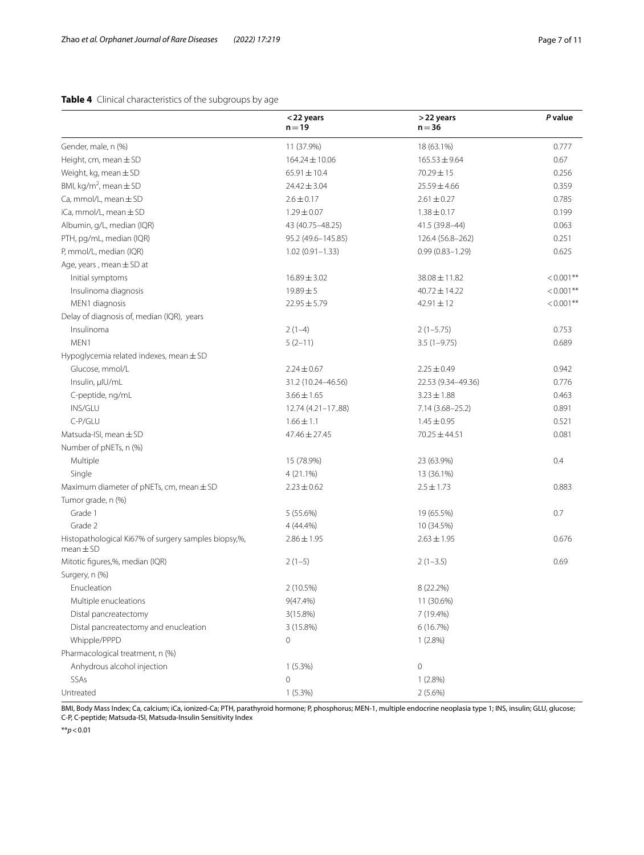## <span id="page-6-0"></span>**Table 4** Clinical characteristics of the subgroups by age

|                                                                       | <22 years<br>$n = 19$ | >22 years<br>$n = 36$ | P value      |
|-----------------------------------------------------------------------|-----------------------|-----------------------|--------------|
| Gender, male, n (%)                                                   | 11 (37.9%)            | 18 (63.1%)            | 0.777        |
| Height, cm, mean $\pm$ SD                                             | $164.24 \pm 10.06$    | $165.53 \pm 9.64$     | 0.67         |
| Weight, kg, mean $\pm$ SD                                             | $65.91 \pm 10.4$      | $70.29 \pm 15$        | 0.256        |
| BMI, kg/m <sup>2</sup> , mean $\pm$ SD                                | $24.42 \pm 3.04$      | $25.59 \pm 4.66$      | 0.359        |
| Ca, mmol/L, mean $\pm$ SD                                             | $2.6 \pm 0.17$        | $2.61 \pm 0.27$       | 0.785        |
| iCa, mmol/L, mean $\pm$ SD                                            | $1.29 \pm 0.07$       | $1.38 \pm 0.17$       | 0.199        |
| Albumin, g/L, median (IQR)                                            | 43 (40.75-48.25)      | 41.5 (39.8-44)        | 0.063        |
| PTH, pg/mL, median (IQR)                                              | 95.2 (49.6-145.85)    | 126.4 (56.8-262)      | 0.251        |
| P, mmol/L, median (IQR)                                               | $1.02(0.91 - 1.33)$   | $0.99(0.83 - 1.29)$   | 0.625        |
| Age, years, mean $\pm$ SD at                                          |                       |                       |              |
| Initial symptoms                                                      | $16.89 \pm 3.02$      | $38.08 \pm 11.82$     | $< 0.001$ ** |
| Insulinoma diagnosis                                                  | $19.89 \pm 5$         | $40.72 \pm 14.22$     | $< 0.001$ ** |
| MEN1 diagnosis                                                        | $22.95 \pm 5.79$      | $42.91 \pm 12$        | $< 0.001$ ** |
| Delay of diagnosis of, median (IQR), years                            |                       |                       |              |
| Insulinoma                                                            | $2(1-4)$              | $2(1-5.75)$           | 0.753        |
| MEN1                                                                  | $5(2-11)$             | $3.5(1-9.75)$         | 0.689        |
| Hypoglycemia related indexes, mean ± SD                               |                       |                       |              |
| Glucose, mmol/L                                                       | $2.24 \pm 0.67$       | $2.25 \pm 0.49$       | 0.942        |
| Insulin, µlU/mL                                                       | 31.2 (10.24-46.56)    | 22.53 (9.34-49.36)    | 0.776        |
| C-peptide, ng/mL                                                      | $3.66 \pm 1.65$       | $3.23 \pm 1.88$       | 0.463        |
| INS/GLU                                                               | 12.74 (4.21-1788)     | $7.14(3.68 - 25.2)$   | 0.891        |
| C-P/GLU                                                               | $1.66 \pm 1.1$        | $1.45 \pm 0.95$       | 0.521        |
| Matsuda-ISI, mean $\pm$ SD                                            | 47.46 ± 27.45         | 70.25 ± 44.51         | 0.081        |
| Number of pNETs, n (%)                                                |                       |                       |              |
| Multiple                                                              | 15 (78.9%)            | 23 (63.9%)            | 0.4          |
| Single                                                                | 4 (21.1%)             | 13 (36.1%)            |              |
| Maximum diameter of pNETs, cm, mean $\pm$ SD                          | $2.23 \pm 0.62$       | $2.5 \pm 1.73$        | 0.883        |
| Tumor grade, n (%)                                                    |                       |                       |              |
| Grade 1                                                               | 5 (55.6%)             | 19 (65.5%)            | 0.7          |
| Grade 2                                                               | 4 (44.4%)             | 10 (34.5%)            |              |
| Histopathological Ki67% of surgery samples biopsy,%,<br>$mean \pm SD$ | $2.86 \pm 1.95$       | $2.63 \pm 1.95$       | 0.676        |
| Mitotic figures,%, median (IQR)                                       | $2(1-5)$              | $2(1-3.5)$            | 0.69         |
| Surgery, n (%)                                                        |                       |                       |              |
| Enucleation                                                           | 2 (10.5%)             | 8 (22.2%)             |              |
| Multiple enucleations                                                 | 9(47.4%)              | 11 (30.6%)            |              |
| Distal pancreatectomy                                                 | 3(15.8%)              | 7 (19.4%)             |              |
| Distal pancreatectomy and enucleation                                 | 3 (15.8%)             | 6(16.7%)              |              |
| Whipple/PPPD                                                          | 0                     | $1(2.8\%)$            |              |
| Pharmacological treatment, n (%)                                      |                       |                       |              |
| Anhydrous alcohol injection                                           | 1(5.3%)               | $\mathbf 0$           |              |
| SSAs                                                                  | 0                     | 1(2.8%)               |              |
| Untreated                                                             | 1(5.3%)               | 2(5.6%)               |              |

BMI, Body Mass Index; Ca, calcium; iCa, ionized-Ca; PTH, parathyroid hormone; P, phosphorus; MEN-1, multiple endocrine neoplasia type 1; INS, insulin; GLU, glucose; C-P, C-peptide; Matsuda-ISI, Matsuda-Insulin Sensitivity Index

\*\**p*<0.01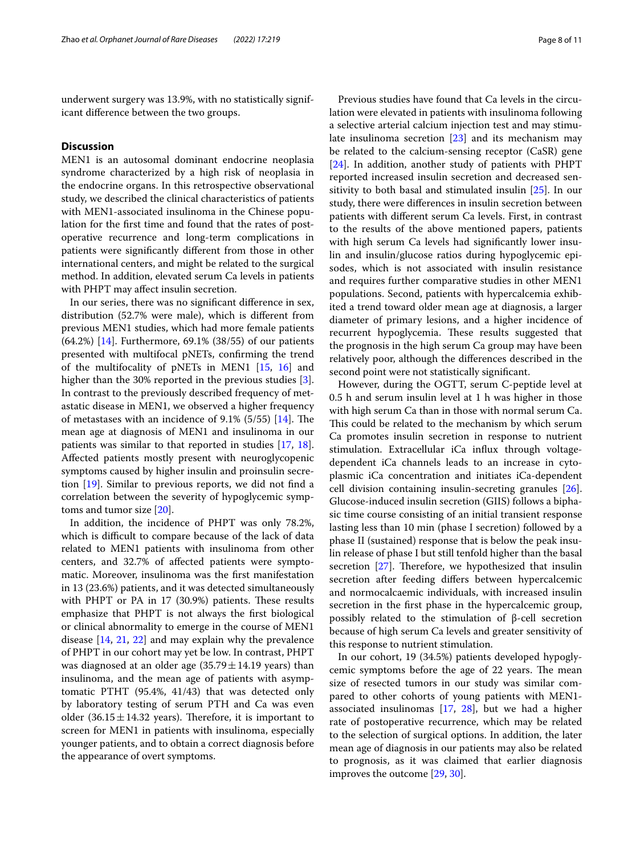underwent surgery was 13.9%, with no statistically significant diference between the two groups.

## **Discussion**

MEN1 is an autosomal dominant endocrine neoplasia syndrome characterized by a high risk of neoplasia in the endocrine organs. In this retrospective observational study, we described the clinical characteristics of patients with MEN1-associated insulinoma in the Chinese population for the frst time and found that the rates of postoperative recurrence and long-term complications in patients were signifcantly diferent from those in other international centers, and might be related to the surgical method. In addition, elevated serum Ca levels in patients with PHPT may afect insulin secretion.

In our series, there was no signifcant diference in sex, distribution (52.7% were male), which is diferent from previous MEN1 studies, which had more female patients (64.2%) [\[14](#page-9-10)]. Furthermore, 69.1% (38/55) of our patients presented with multifocal pNETs, confrming the trend of the multifocality of pNETs in MEN1 [\[15,](#page-9-11) [16](#page-9-12)] and higher than the 30% reported in the previous studies [\[3](#page-9-1)]. In contrast to the previously described frequency of metastatic disease in MEN1, we observed a higher frequency of metastases with an incidence of  $9.1\%$  (5/55) [[14\]](#page-9-10). The mean age at diagnosis of MEN1 and insulinoma in our patients was similar to that reported in studies [[17,](#page-9-13) [18](#page-9-14)]. Afected patients mostly present with neuroglycopenic symptoms caused by higher insulin and proinsulin secretion [[19\]](#page-9-15). Similar to previous reports, we did not fnd a correlation between the severity of hypoglycemic symptoms and tumor size [[20\]](#page-9-16).

In addition, the incidence of PHPT was only 78.2%, which is difficult to compare because of the lack of data related to MEN1 patients with insulinoma from other centers, and 32.7% of afected patients were symptomatic. Moreover, insulinoma was the frst manifestation in 13 (23.6%) patients, and it was detected simultaneously with PHPT or PA in 17 (30.9%) patients. These results emphasize that PHPT is not always the frst biological or clinical abnormality to emerge in the course of MEN1 disease [\[14](#page-9-10), [21](#page-9-17), [22\]](#page-9-18) and may explain why the prevalence of PHPT in our cohort may yet be low. In contrast, PHPT was diagnosed at an older age  $(35.79 \pm 14.19 \text{ years})$  than insulinoma, and the mean age of patients with asymptomatic PTHT (95.4%, 41/43) that was detected only by laboratory testing of serum PTH and Ca was even older (36.15 $\pm$ 14.32 years). Therefore, it is important to screen for MEN1 in patients with insulinoma, especially younger patients, and to obtain a correct diagnosis before the appearance of overt symptoms.

Previous studies have found that Ca levels in the circulation were elevated in patients with insulinoma following a selective arterial calcium injection test and may stimulate insulinoma secretion [[23\]](#page-9-19) and its mechanism may be related to the calcium-sensing receptor (CaSR) gene [[24\]](#page-9-20). In addition, another study of patients with PHPT reported increased insulin secretion and decreased sensitivity to both basal and stimulated insulin [\[25](#page-9-21)]. In our study, there were diferences in insulin secretion between patients with diferent serum Ca levels. First, in contrast to the results of the above mentioned papers, patients with high serum Ca levels had significantly lower insulin and insulin/glucose ratios during hypoglycemic episodes, which is not associated with insulin resistance and requires further comparative studies in other MEN1 populations. Second, patients with hypercalcemia exhibited a trend toward older mean age at diagnosis, a larger diameter of primary lesions, and a higher incidence of recurrent hypoglycemia. These results suggested that the prognosis in the high serum Ca group may have been relatively poor, although the diferences described in the second point were not statistically signifcant.

However, during the OGTT, serum C-peptide level at 0.5 h and serum insulin level at 1 h was higher in those with high serum Ca than in those with normal serum Ca. This could be related to the mechanism by which serum Ca promotes insulin secretion in response to nutrient stimulation. Extracellular iCa infux through voltagedependent iCa channels leads to an increase in cytoplasmic iCa concentration and initiates iCa-dependent cell division containing insulin-secreting granules [\[26](#page-9-22)]. Glucose-induced insulin secretion (GIIS) follows a biphasic time course consisting of an initial transient response lasting less than 10 min (phase I secretion) followed by a phase II (sustained) response that is below the peak insulin release of phase I but still tenfold higher than the basal secretion  $[27]$  $[27]$ . Therefore, we hypothesized that insulin secretion after feeding difers between hypercalcemic and normocalcaemic individuals, with increased insulin secretion in the frst phase in the hypercalcemic group, possibly related to the stimulation of β-cell secretion because of high serum Ca levels and greater sensitivity of this response to nutrient stimulation.

In our cohort, 19 (34.5%) patients developed hypoglycemic symptoms before the age of 22 years. The mean size of resected tumors in our study was similar compared to other cohorts of young patients with MEN1 associated insulinomas [[17,](#page-9-13) [28\]](#page-9-24), but we had a higher rate of postoperative recurrence, which may be related to the selection of surgical options. In addition, the later mean age of diagnosis in our patients may also be related to prognosis, as it was claimed that earlier diagnosis improves the outcome [\[29](#page-9-25), [30\]](#page-9-26).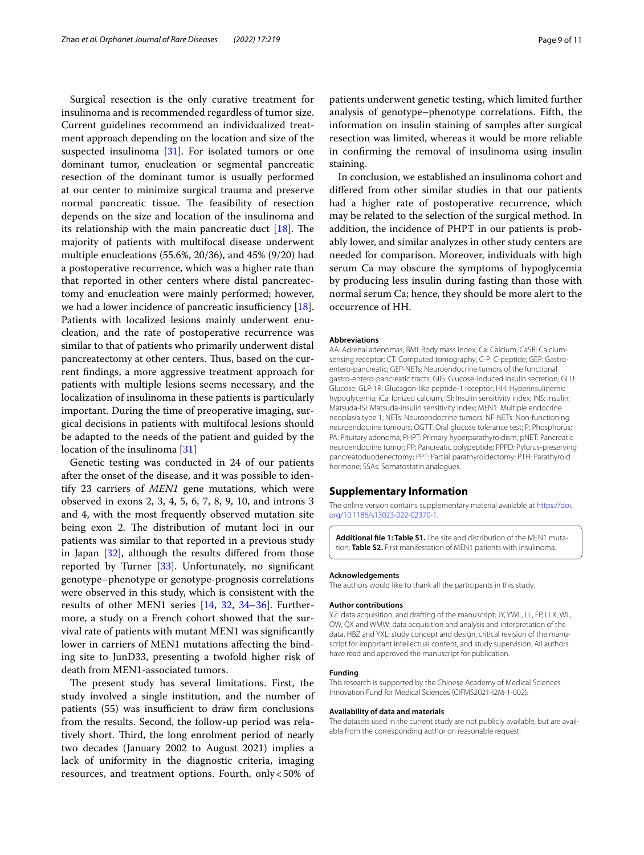Surgical resection is the only curative treatment for insulinoma and is recommended regardless of tumor size. Current guidelines recommend an individualized treatment approach depending on the location and size of the suspected insulinoma [[31\]](#page-9-27). For isolated tumors or one dominant tumor, enucleation or segmental pancreatic resection of the dominant tumor is usually performed at our center to minimize surgical trauma and preserve normal pancreatic tissue. The feasibility of resection depends on the size and location of the insulinoma and its relationship with the main pancreatic duct  $[18]$  $[18]$ . The majority of patients with multifocal disease underwent multiple enucleations (55.6%, 20/36), and 45% (9/20) had a postoperative recurrence, which was a higher rate than that reported in other centers where distal pancreatectomy and enucleation were mainly performed; however, we had a lower incidence of pancreatic insufficiency  $[18]$  $[18]$ . Patients with localized lesions mainly underwent enucleation, and the rate of postoperative recurrence was similar to that of patients who primarily underwent distal pancreatectomy at other centers. Thus, based on the current fndings, a more aggressive treatment approach for patients with multiple lesions seems necessary, and the localization of insulinoma in these patients is particularly important. During the time of preoperative imaging, surgical decisions in patients with multifocal lesions should be adapted to the needs of the patient and guided by the location of the insulinoma [\[31\]](#page-9-27)

Genetic testing was conducted in 24 of our patients after the onset of the disease, and it was possible to identify 23 carriers of *MEN1* gene mutations, which were observed in exons 2, 3, 4, 5, 6, 7, 8, 9, 10, and introns 3 and 4, with the most frequently observed mutation site being exon 2. The distribution of mutant loci in our patients was similar to that reported in a previous study in Japan [\[32](#page-9-28)], although the results difered from those reported by Turner [\[33](#page-9-29)]. Unfortunately, no signifcant genotype–phenotype or genotype-prognosis correlations were observed in this study, which is consistent with the results of other MEN1 series [\[14](#page-9-10), [32,](#page-9-28) [34–](#page-9-30)[36\]](#page-10-0). Furthermore, a study on a French cohort showed that the survival rate of patients with mutant MEN1 was signifcantly lower in carriers of MEN1 mutations afecting the binding site to JunD33, presenting a twofold higher risk of death from MEN1-associated tumors.

The present study has several limitations. First, the study involved a single institution, and the number of patients (55) was insufficient to draw firm conclusions from the results. Second, the follow-up period was relatively short. Third, the long enrolment period of nearly two decades (January 2002 to August 2021) implies a lack of uniformity in the diagnostic criteria, imaging resources, and treatment options. Fourth, only<50% of patients underwent genetic testing, which limited further analysis of genotype–phenotype correlations. Fifth, the information on insulin staining of samples after surgical resection was limited, whereas it would be more reliable in confrming the removal of insulinoma using insulin staining.

In conclusion, we established an insulinoma cohort and difered from other similar studies in that our patients had a higher rate of postoperative recurrence, which may be related to the selection of the surgical method. In addition, the incidence of PHPT in our patients is probably lower, and similar analyzes in other study centers are needed for comparison. Moreover, individuals with high serum Ca may obscure the symptoms of hypoglycemia by producing less insulin during fasting than those with normal serum Ca; hence, they should be more alert to the occurrence of HH.

#### **Abbreviations**

AA: Adrenal adenomas; BMI: Body mass index; Ca: Calcium; CaSR: Calciumsensing receptor; CT: Computed tomography; C-P: C-peptide; GEP: Gastroentero-pancreatic; GEP-NETs: Neuroendocrine tumors of the functional gastro-entero-pancreatic tracts; GIIS: Glucose-induced insulin secretion; GLU: Glucose; GLP-1R: Glucagon-like peptide-1 receptor; HH: Hyperinsulinemic hypoglycemia; iCa: Ionized calcium; ISI: Insulin sensitivity index; INS: Insulin; Matsuda-ISI: Matsuda-insulin sensitivity index; MEN1: Multiple endocrine neoplasia type 1; NETs: Neuroendocrine tumors; NF-NETs: Non-functioning neuroendocrine tumours; OGTT: Oral glucose tolerance test; P: Phosphorus; PA: Pituitary adenoma; PHPT: Primary hyperparathyroidism; pNET: Pancreatic neuroendocrine tumor; PP: Pancreatic polypeptide; PPPD: Pylorus‐preserving pancreatoduodenectomy; PPT: Partial parathyroidectomy; PTH: Parathyroid hormone; SSAs: Somatostatin analogues.

#### **Supplementary Information**

The online version contains supplementary material available at [https://doi.](https://doi.org/10.1186/s13023-022-02370-1) [org/10.1186/s13023-022-02370-1](https://doi.org/10.1186/s13023-022-02370-1).

**Additional fle 1: Table S1.** The site and distribution of the MEN1 mutation; **Table S2.** First manifestation of MEN1 patients with insulinoma.

#### **Acknowledgements**

The authors would like to thank all the participants in this study.

#### **Author contributions**

YZ: data acquisition, and drafting of the manuscript; JY, YWL, LL, FP, LLX, WL, OW, QX and WMW: data acquisition and analysis and interpretation of the data. HBZ and YXL: study concept and design, critical revision of the manuscript for important intellectual content, and study supervision. All authors have read and approved the manuscript for publication.

#### **Funding**

This research is supported by the Chinese Academy of Medical Sciences Innovation Fund for Medical Sciences (CIFMS2021-I2M-1-002).

#### **Availability of data and materials**

The datasets used in the current study are not publicly available, but are available from the corresponding author on reasonable request.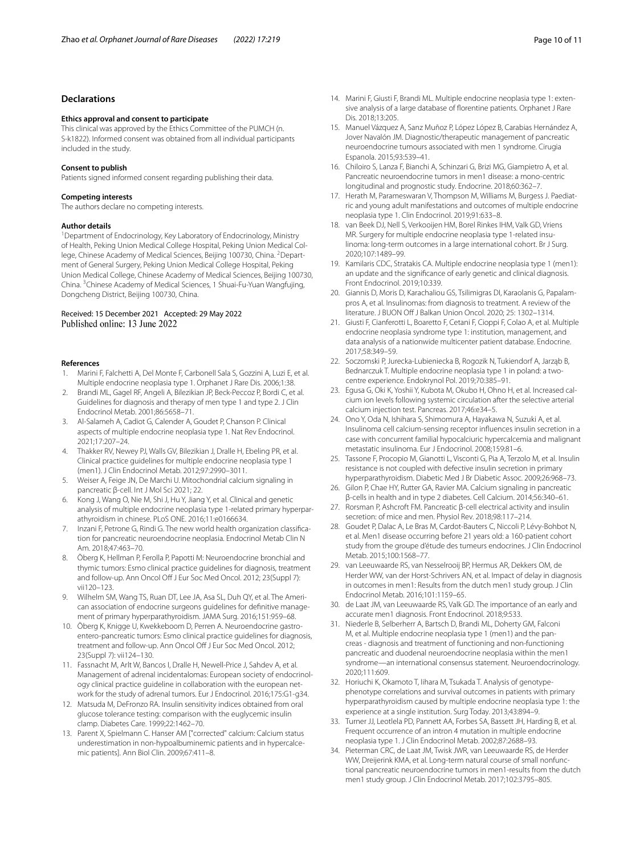## **Declarations**

#### **Ethics approval and consent to participate**

This clinical was approved by the Ethics Committee of the PUMCH (n. S-k1822). Informed consent was obtained from all individual participants included in the study.

#### **Consent to publish**

Patients signed informed consent regarding publishing their data.

#### **Competing interests**

The authors declare no competing interests.

#### **Author details**

<sup>1</sup> Department of Endocrinology, Key Laboratory of Endocrinology, Ministry of Health, Peking Union Medical College Hospital, Peking Union Medical College, Chinese Academy of Medical Sciences, Beijing 100730, China. <sup>2</sup>Department of General Surgery, Peking Union Medical College Hospital, Peking Union Medical College, Chinese Academy of Medical Sciences, Beijing 100730, China. <sup>3</sup>Chinese Academy of Medical Sciences, 1 Shuai-Fu-Yuan Wangfujing, Dongcheng District, Beijing 100730, China.

#### Received: 15 December 2021 Accepted: 29 May 2022 Published online: 13 June 2022

#### **References**

- <span id="page-9-0"></span>1. Marini F, Falchetti A, Del Monte F, Carbonell Sala S, Gozzini A, Luzi E, et al. Multiple endocrine neoplasia type 1. Orphanet J Rare Dis. 2006;1:38.
- 2. Brandi ML, Gagel RF, Angeli A, Bilezikian JP, Beck-Peccoz P, Bordi C, et al. Guidelines for diagnosis and therapy of men type 1 and type 2. J Clin Endocrinol Metab. 2001;86:5658–71.
- <span id="page-9-1"></span>3. Al-Salameh A, Cadiot G, Calender A, Goudet P, Chanson P. Clinical aspects of multiple endocrine neoplasia type 1. Nat Rev Endocrinol. 2021;17:207–24.
- <span id="page-9-2"></span>4. Thakker RV, Newey PJ, Walls GV, Bilezikian J, Dralle H, Ebeling PR, et al. Clinical practice guidelines for multiple endocrine neoplasia type 1 (men1). J Clin Endocrinol Metab. 2012;97:2990–3011.
- <span id="page-9-3"></span>5. Weiser A, Feige JN, De Marchi U. Mitochondrial calcium signaling in pancreatic β-cell. Int J Mol Sci 2021; 22.
- <span id="page-9-4"></span>6. Kong J, Wang O, Nie M, Shi J, Hu Y, Jiang Y, et al. Clinical and genetic analysis of multiple endocrine neoplasia type 1-related primary hyperparathyroidism in chinese. PLoS ONE. 2016;11:e0166634.
- <span id="page-9-5"></span>7. Inzani F, Petrone G, Rindi G. The new world health organization classifcation for pancreatic neuroendocrine neoplasia. Endocrinol Metab Clin N Am. 2018;47:463–70.
- <span id="page-9-6"></span>8. Öberg K, Hellman P, Ferolla P, Papotti M: Neuroendocrine bronchial and thymic tumors: Esmo clinical practice guidelines for diagnosis, treatment and follow-up. Ann Oncol Off J Eur Soc Med Oncol. 2012; 23(Suppl 7): vii120–123.
- 9. Wilhelm SM, Wang TS, Ruan DT, Lee JA, Asa SL, Duh QY, et al. The American association of endocrine surgeons guidelines for defnitive management of primary hyperparathyroidism. JAMA Surg. 2016;151:959–68.
- 10. Öberg K, Knigge U, Kwekkeboom D, Perren A. Neuroendocrine gastroentero-pancreatic tumors: Esmo clinical practice guidelines for diagnosis, treatment and follow-up. Ann Oncol Of J Eur Soc Med Oncol. 2012; 23(Suppl 7): vii124–130.
- <span id="page-9-7"></span>11. Fassnacht M, Arlt W, Bancos I, Dralle H, Newell-Price J, Sahdev A, et al. Management of adrenal incidentalomas: European society of endocrinology clinical practice guideline in collaboration with the european network for the study of adrenal tumors. Eur J Endocrinol. 2016;175:G1-g34.
- <span id="page-9-8"></span>12. Matsuda M, DeFronzo RA. Insulin sensitivity indices obtained from oral glucose tolerance testing: comparison with the euglycemic insulin clamp. Diabetes Care. 1999;22:1462–70.
- <span id="page-9-9"></span>13. Parent X, Spielmann C. Hanser AM ["corrected" calcium: Calcium status underestimation in non-hypoalbuminemic patients and in hypercalcemic patients]. Ann Biol Clin. 2009;67:411–8.
- <span id="page-9-10"></span>14. Marini F, Giusti F, Brandi ML. Multiple endocrine neoplasia type 1: extensive analysis of a large database of florentine patients. Orphanet J Rare Dis. 2018;13:205.
- <span id="page-9-11"></span>15. Manuel Vázquez A, Sanz Muñoz P, López López B, Carabias Hernández A, Jover Navalón JM. Diagnostic/therapeutic management of pancreatic neuroendocrine tumours associated with men 1 syndrome. Cirugia Espanola. 2015;93:539–41.
- <span id="page-9-12"></span>16. Chiloiro S, Lanza F, Bianchi A, Schinzari G, Brizi MG, Giampietro A, et al. Pancreatic neuroendocrine tumors in men1 disease: a mono-centric longitudinal and prognostic study. Endocrine. 2018;60:362–7.
- <span id="page-9-13"></span>17. Herath M, Parameswaran V, Thompson M, Williams M, Burgess J. Paediatric and young adult manifestations and outcomes of multiple endocrine neoplasia type 1. Clin Endocrinol. 2019;91:633–8.
- <span id="page-9-14"></span>18. van Beek DJ, Nell S, Verkooijen HM, Borel Rinkes IHM, Valk GD, Vriens MR. Surgery for multiple endocrine neoplasia type 1-related insulinoma: long-term outcomes in a large international cohort. Br J Surg. 2020;107:1489–99.
- <span id="page-9-15"></span>19. Kamilaris CDC, Stratakis CA. Multiple endocrine neoplasia type 1 (men1): an update and the signifcance of early genetic and clinical diagnosis. Front Endocrinol. 2019;10:339.
- <span id="page-9-16"></span>20. Giannis D, Moris D, Karachaliou GS, Tsilimigras DI, Karaolanis G, Papalampros A, et al. Insulinomas: from diagnosis to treatment. A review of the literature. J BUON Off J Balkan Union Oncol. 2020; 25: 1302-1314.
- <span id="page-9-17"></span>21. Giusti F, Cianferotti L, Boaretto F, Cetani F, Cioppi F, Colao A, et al. Multiple endocrine neoplasia syndrome type 1: institution, management, and data analysis of a nationwide multicenter patient database. Endocrine. 2017;58:349–59.
- <span id="page-9-18"></span>22. Soczomski P, Jurecka-Lubieniecka B, Rogozik N, Tukiendorf A, Jarząb B, Bednarczuk T. Multiple endocrine neoplasia type 1 in poland: a twocentre experience. Endokrynol Pol. 2019;70:385–91.
- <span id="page-9-19"></span>23. Egusa G, Oki K, Yoshii Y, Kubota M, Okubo H, Ohno H, et al. Increased calcium ion levels following systemic circulation after the selective arterial calcium injection test. Pancreas. 2017;46:e34–5.
- <span id="page-9-20"></span>24. Ono Y, Oda N, Ishihara S, Shimomura A, Hayakawa N, Suzuki A, et al. Insulinoma cell calcium-sensing receptor infuences insulin secretion in a case with concurrent familial hypocalciuric hypercalcemia and malignant metastatic insulinoma. Eur J Endocrinol. 2008;159:81–6.
- <span id="page-9-21"></span>25. Tassone F, Procopio M, Gianotti L, Visconti G, Pia A, Terzolo M, et al. Insulin resistance is not coupled with defective insulin secretion in primary hyperparathyroidism. Diabetic Med J Br Diabetic Assoc. 2009;26:968–73.
- <span id="page-9-22"></span>26. Gilon P, Chae HY, Rutter GA, Ravier MA. Calcium signaling in pancreatic β-cells in health and in type 2 diabetes. Cell Calcium. 2014;56:340–61.
- <span id="page-9-23"></span>27. Rorsman P, Ashcroft FM. Pancreatic β-cell electrical activity and insulin secretion: of mice and men. Physiol Rev. 2018;98:117–214.
- <span id="page-9-24"></span>28. Goudet P, Dalac A, Le Bras M, Cardot-Bauters C, Niccoli P, Lévy-Bohbot N, et al. Men1 disease occurring before 21 years old: a 160-patient cohort study from the groupe d'étude des tumeurs endocrines. J Clin Endocrinol Metab. 2015;100:1568–77.
- <span id="page-9-25"></span>29. van Leeuwaarde RS, van Nesselrooij BP, Hermus AR, Dekkers OM, de Herder WW, van der Horst-Schrivers AN, et al. Impact of delay in diagnosis in outcomes in men1: Results from the dutch men1 study group. J Clin Endocrinol Metab. 2016;101:1159–65.
- <span id="page-9-26"></span>30. de Laat JM, van Leeuwaarde RS, Valk GD. The importance of an early and accurate men1 diagnosis. Front Endocrinol. 2018;9:533.
- <span id="page-9-27"></span>31. Niederle B, Selberherr A, Bartsch D, Brandi ML, Doherty GM, Falconi M, et al. Multiple endocrine neoplasia type 1 (men1) and the pancreas - diagnosis and treatment of functioning and non-functioning pancreatic and duodenal neuroendocrine neoplasia within the men1 syndrome—an international consensus statement. Neuroendocrinology. 2020;111:609.
- <span id="page-9-28"></span>32. Horiuchi K, Okamoto T, Iihara M, Tsukada T. Analysis of genotypephenotype correlations and survival outcomes in patients with primary hyperparathyroidism caused by multiple endocrine neoplasia type 1: the experience at a single institution. Surg Today. 2013;43:894–9.
- <span id="page-9-29"></span>33. Turner JJ, Leotlela PD, Pannett AA, Forbes SA, Bassett JH, Harding B, et al. Frequent occurrence of an intron 4 mutation in multiple endocrine neoplasia type 1. J Clin Endocrinol Metab. 2002;87:2688–93.
- <span id="page-9-30"></span>34. Pieterman CRC, de Laat JM, Twisk JWR, van Leeuwaarde RS, de Herder WW, Dreijerink KMA, et al. Long-term natural course of small nonfunctional pancreatic neuroendocrine tumors in men1-results from the dutch men1 study group. J Clin Endocrinol Metab. 2017;102:3795–805.